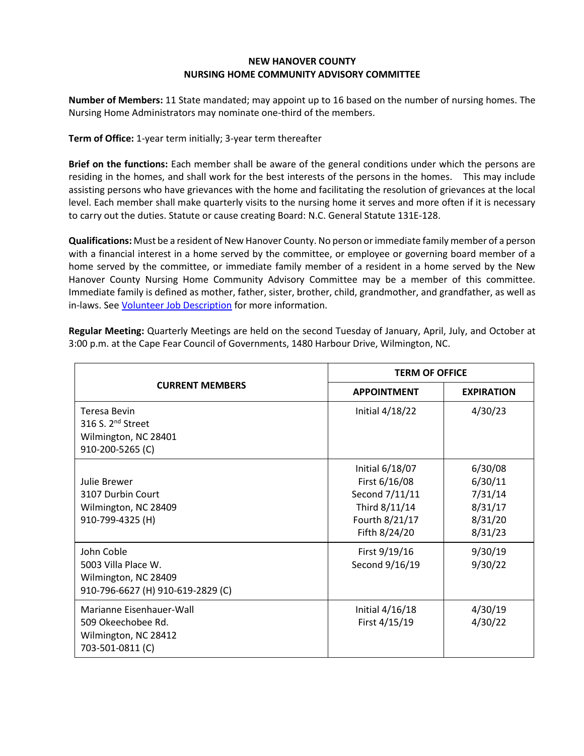## **NEW HANOVER COUNTY NURSING HOME COMMUNITY ADVISORY COMMITTEE**

**Number of Members:** 11 State mandated; may appoint up to 16 based on the number of nursing homes. The Nursing Home Administrators may nominate one-third of the members.

**Term of Office:** 1-year term initially; 3-year term thereafter

**Brief on the functions:** Each member shall be aware of the general conditions under which the persons are residing in the homes, and shall work for the best interests of the persons in the homes. This may include assisting persons who have grievances with the home and facilitating the resolution of grievances at the local level. Each member shall make quarterly visits to the nursing home it serves and more often if it is necessary to carry out the duties. Statute or cause creating Board: N.C. General Statute 131E-128.

**Qualifications:** Must be a resident of New Hanover County. No person or immediate family member of a person with a financial interest in a home served by the committee, or employee or governing board member of a home served by the committee, or immediate family member of a resident in a home served by the New Hanover County Nursing Home Community Advisory Committee may be a member of this committee. Immediate family is defined as mother, father, sister, brother, child, grandmother, and grandfather, as well as in-laws. Se[e Volunteer Job Description](https://team.nhcgov.com/depts/Comm/Boards%20and%20Committees/Members/CACJobDescription.pdf) for more information.

| <b>CURRENT MEMBERS</b>                                                                           | <b>TERM OF OFFICE</b>                                                                                  |                                                                |
|--------------------------------------------------------------------------------------------------|--------------------------------------------------------------------------------------------------------|----------------------------------------------------------------|
|                                                                                                  | <b>APPOINTMENT</b>                                                                                     | <b>EXPIRATION</b>                                              |
| <b>Teresa Bevin</b><br>316 S. 2 <sup>nd</sup> Street<br>Wilmington, NC 28401<br>910-200-5265 (C) | Initial $4/18/22$                                                                                      | 4/30/23                                                        |
| Julie Brewer<br>3107 Durbin Court<br>Wilmington, NC 28409<br>910-799-4325 (H)                    | Initial 6/18/07<br>First 6/16/08<br>Second 7/11/11<br>Third 8/11/14<br>Fourth 8/21/17<br>Fifth 8/24/20 | 6/30/08<br>6/30/11<br>7/31/14<br>8/31/17<br>8/31/20<br>8/31/23 |
| John Coble<br>5003 Villa Place W.<br>Wilmington, NC 28409<br>910-796-6627 (H) 910-619-2829 (C)   | First 9/19/16<br>Second 9/16/19                                                                        | 9/30/19<br>9/30/22                                             |
| Marianne Eisenhauer-Wall<br>509 Okeechobee Rd.<br>Wilmington, NC 28412<br>703-501-0811 (C)       | Initial 4/16/18<br>First 4/15/19                                                                       | 4/30/19<br>4/30/22                                             |

**Regular Meeting:** Quarterly Meetings are held on the second Tuesday of January, April, July, and October at 3:00 p.m. at the Cape Fear Council of Governments, 1480 Harbour Drive, Wilmington, NC.